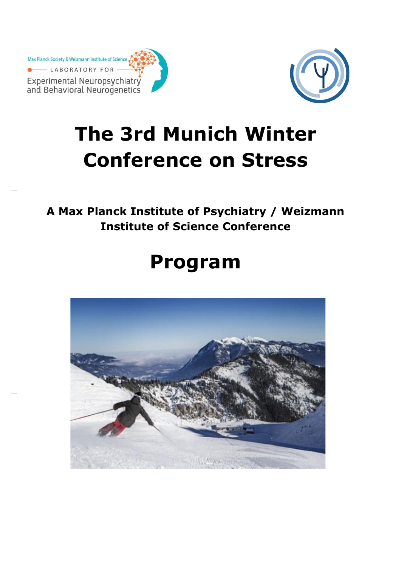Max Planck Society & Weizmann Institute of Science LABORATORY FOR Experimental Neuropsychiatry<br>and Behavioral Neurogenetics



# **The 3rd Munich Winter Conference on Stress**

**A Max Planck Institute of Psychiatry / Weizmann Institute of Science Conference**

# **Program**

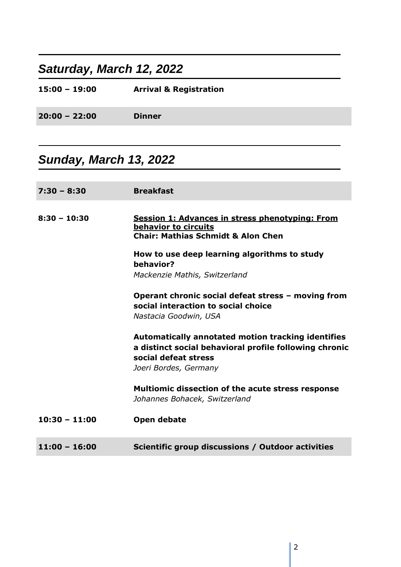### *Saturday, March 12, 2022*

| $15:00 - 19:00$ | <b>Arrival &amp; Registration</b> |
|-----------------|-----------------------------------|
| $20:00 - 22:00$ | <b>Dinner</b>                     |
|                 |                                   |

### *Sunday, March 13, 2022*

| $7:30 - 8:30$   | <b>Breakfast</b>                                                                                                                                              |
|-----------------|---------------------------------------------------------------------------------------------------------------------------------------------------------------|
| $8:30 - 10:30$  | <b>Session 1: Advances in stress phenotyping: From</b><br>behavior to circuits<br><b>Chair: Mathias Schmidt &amp; Alon Chen</b>                               |
|                 | How to use deep learning algorithms to study<br>behavior?<br>Mackenzie Mathis, Switzerland                                                                    |
|                 | Operant chronic social defeat stress - moving from<br>social interaction to social choice<br>Nastacia Goodwin, USA                                            |
|                 | Automatically annotated motion tracking identifies<br>a distinct social behavioral profile following chronic<br>social defeat stress<br>Joeri Bordes, Germany |
|                 | <b>Multiomic dissection of the acute stress response</b><br>Johannes Bohacek, Switzerland                                                                     |
| $10:30 - 11:00$ | Open debate                                                                                                                                                   |
| $11:00 - 16:00$ | Scientific group discussions / Outdoor activities                                                                                                             |

I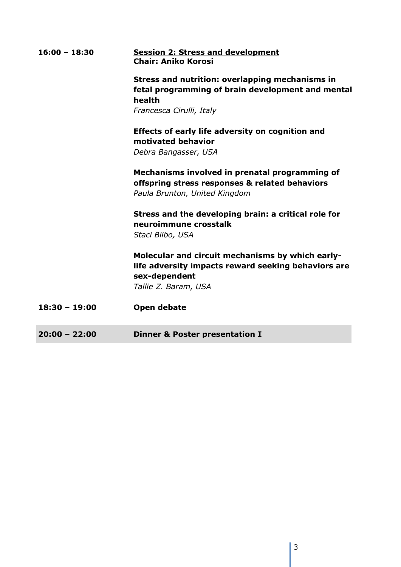| $16:00 - 18:30$ | <b>Session 2: Stress and development</b><br><b>Chair: Aniko Korosi</b>                                                                            |
|-----------------|---------------------------------------------------------------------------------------------------------------------------------------------------|
|                 | <b>Stress and nutrition: overlapping mechanisms in</b><br>fetal programming of brain development and mental<br>health<br>Francesca Cirulli, Italy |
|                 | Effects of early life adversity on cognition and<br>motivated behavior<br>Debra Bangasser, USA                                                    |
|                 | Mechanisms involved in prenatal programming of<br>offspring stress responses & related behaviors<br>Paula Brunton, United Kingdom                 |
|                 | Stress and the developing brain: a critical role for<br>neuroimmune crosstalk<br>Staci Bilbo, USA                                                 |
|                 | Molecular and circuit mechanisms by which early-<br>life adversity impacts reward seeking behaviors are<br>sex-dependent<br>Tallie Z. Baram, USA  |
| $18:30 - 19:00$ | Open debate                                                                                                                                       |
| $20:00 - 22:00$ | <b>Dinner &amp; Poster presentation I</b>                                                                                                         |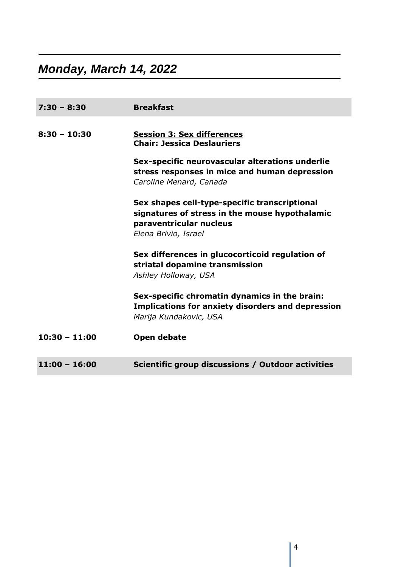## *Monday, March 14, 2022*

| $7:30 - 8:30$   | <b>Breakfast</b>                                                                                                                                   |
|-----------------|----------------------------------------------------------------------------------------------------------------------------------------------------|
| $8:30 - 10:30$  | <b>Session 3: Sex differences</b><br><b>Chair: Jessica Deslauriers</b>                                                                             |
|                 | Sex-specific neurovascular alterations underlie<br>stress responses in mice and human depression<br>Caroline Menard, Canada                        |
|                 | Sex shapes cell-type-specific transcriptional<br>signatures of stress in the mouse hypothalamic<br>paraventricular nucleus<br>Elena Brivio, Israel |
|                 | Sex differences in glucocorticoid regulation of<br>striatal dopamine transmission<br>Ashley Holloway, USA                                          |
|                 | Sex-specific chromatin dynamics in the brain:<br><b>Implications for anxiety disorders and depression</b><br>Marija Kundakovic, USA                |
| $10:30 - 11:00$ | Open debate                                                                                                                                        |
| $11:00 - 16:00$ | Scientific group discussions / Outdoor activities                                                                                                  |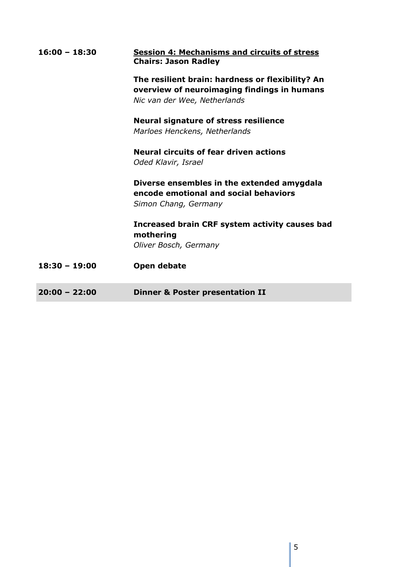| $16:00 - 18:30$ | <b>Session 4: Mechanisms and circuits of stress</b><br><b>Chairs: Jason Radley</b>                                              |
|-----------------|---------------------------------------------------------------------------------------------------------------------------------|
|                 | The resilient brain: hardness or flexibility? An<br>overview of neuroimaging findings in humans<br>Nic van der Wee, Netherlands |
|                 | <b>Neural signature of stress resilience</b><br>Marloes Henckens, Netherlands                                                   |
|                 | <b>Neural circuits of fear driven actions</b><br>Oded Klavir, Israel                                                            |
|                 | Diverse ensembles in the extended amygdala<br>encode emotional and social behaviors<br>Simon Chang, Germany                     |
|                 | Increased brain CRF system activity causes bad<br>mothering                                                                     |
|                 | Oliver Bosch, Germany                                                                                                           |
| $18:30 - 19:00$ | Open debate                                                                                                                     |
| $20:00 - 22:00$ | <b>Dinner &amp; Poster presentation II</b>                                                                                      |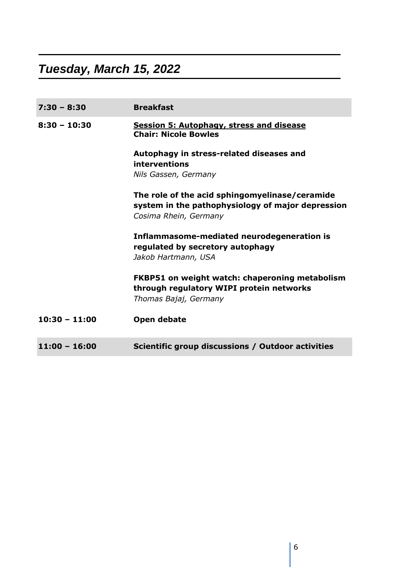## *Tuesday, March 15, 2022*

| $7:30 - 8:30$   | <b>Breakfast</b>                                                                                                             |
|-----------------|------------------------------------------------------------------------------------------------------------------------------|
| $8:30 - 10:30$  | <b>Session 5: Autophagy, stress and disease</b><br><b>Chair: Nicole Bowles</b>                                               |
|                 | Autophagy in stress-related diseases and<br>interventions                                                                    |
|                 | Nils Gassen, Germany                                                                                                         |
|                 | The role of the acid sphingomyelinase/ceramide<br>system in the pathophysiology of major depression<br>Cosima Rhein, Germany |
|                 | Inflammasome-mediated neurodegeneration is<br>regulated by secretory autophagy<br>Jakob Hartmann, USA                        |
|                 | <b>FKBP51 on weight watch: chaperoning metabolism</b><br>through regulatory WIPI protein networks<br>Thomas Bajaj, Germany   |
| $10:30 - 11:00$ | Open debate                                                                                                                  |
| $11:00 - 16:00$ | Scientific group discussions / Outdoor activities                                                                            |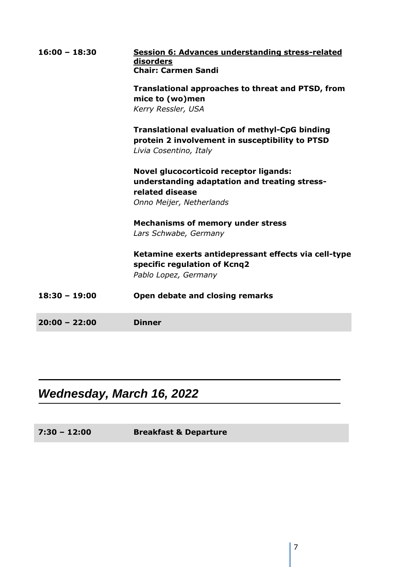| $16:00 - 18:30$ | Session 6: Advances understanding stress-related<br>disorders<br><b>Chair: Carmen Sandi</b>                                        |
|-----------------|------------------------------------------------------------------------------------------------------------------------------------|
|                 | <b>Translational approaches to threat and PTSD, from</b><br>mice to (wo)men                                                        |
|                 | Kerry Ressler, USA                                                                                                                 |
|                 | <b>Translational evaluation of methyl-CpG binding</b><br>protein 2 involvement in susceptibility to PTSD<br>Livia Cosentino, Italy |
|                 | <b>Novel glucocorticoid receptor ligands:</b><br>understanding adaptation and treating stress-<br>related disease                  |
|                 | Onno Meijer, Netherlands                                                                                                           |
|                 | <b>Mechanisms of memory under stress</b><br>Lars Schwabe, Germany                                                                  |
|                 | Ketamine exerts antidepressant effects via cell-type<br>specific regulation of Kcnq2<br>Pablo Lopez, Germany                       |
| $18:30 - 19:00$ | Open debate and closing remarks                                                                                                    |
| $20:00 - 22:00$ | <b>Dinner</b>                                                                                                                      |

### *Wednesday, March 16, 2022*

**7:30 – 12:00 Breakfast & Departure**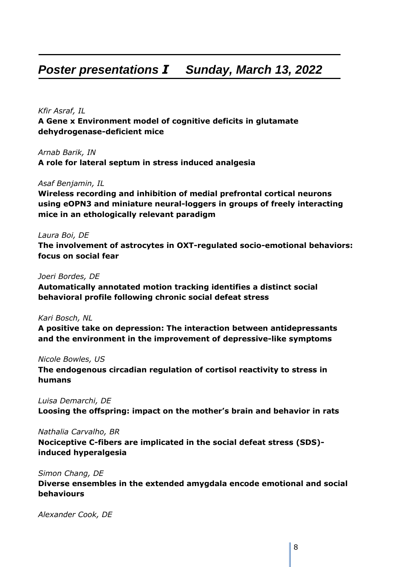### *Poster presentations I Sunday, March 13, 2022*

#### *Kfir Asraf, IL* **A Gene x Environment model of cognitive deficits in glutamate dehydrogenase-deficient mice**

*Arnab Barik, IN* **A role for lateral septum in stress induced analgesia**

#### *Asaf Benjamin, IL*

**Wireless recording and inhibition of medial prefrontal cortical neurons using eOPN3 and miniature neural-loggers in groups of freely interacting mice in an ethologically relevant paradigm**

#### *Laura Boi, DE*

**The involvement of astrocytes in OXT-regulated socio-emotional behaviors: focus on social fear**

#### *Joeri Bordes, DE*

**Automatically annotated motion tracking identifies a distinct social behavioral profile following chronic social defeat stress**

#### *Kari Bosch, NL*

**A positive take on depression: The interaction between antidepressants and the environment in the improvement of depressive-like symptoms**

#### *Nicole Bowles, US*

**The endogenous circadian regulation of cortisol reactivity to stress in humans**

#### *Luisa Demarchi, DE*

**Loosing the offspring: impact on the mother's brain and behavior in rats**

#### *Nathalia Carvalho, BR*

**Nociceptive C-fibers are implicated in the social defeat stress (SDS) induced hyperalgesia**

#### *Simon Chang, DE*

**Diverse ensembles in the extended amygdala encode emotional and social behaviours**

*Alexander Cook, DE*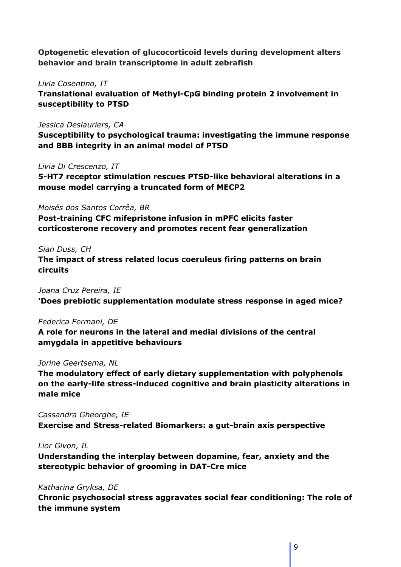**Optogenetic elevation of glucocorticoid levels during development alters behavior and brain transcriptome in adult zebrafish**

#### *Livia Cosentino, IT*

**Translational evaluation of Methyl-CpG binding protein 2 involvement in susceptibility to PTSD**

#### *Jessica Deslauriers, CA*

**Susceptibility to psychological trauma: investigating the immune response and BBB integrity in an animal model of PTSD**

#### *Livia Di Crescenzo, IT*

**5-HT7 receptor stimulation rescues PTSD-like behavioral alterations in a mouse model carrying a truncated form of MECP2**

#### *Moisés dos Santos Corrêa, BR*

**Post-training CFC mifepristone infusion in mPFC elicits faster corticosterone recovery and promotes recent fear generalization**

#### *Sian Duss, CH*

**The impact of stress related locus coeruleus firing patterns on brain circuits**

*Joana Cruz Pereira, IE* **'Does prebiotic supplementation modulate stress response in aged mice?**

#### *Federica Fermani, DE*

**A role for neurons in the lateral and medial divisions of the central amygdala in appetitive behaviours**

#### *Jorine Geertsema, NL*

**The modulatory effect of early dietary supplementation with polyphenols on the early-life stress-induced cognitive and brain plasticity alterations in male mice**

*Cassandra Gheorghe, IE* **Exercise and Stress-related Biomarkers: a gut-brain axis perspective**

#### *Lior Givon, IL*

**Understanding the interplay between dopamine, fear, anxiety and the stereotypic behavior of grooming in DAT-Cre mice**

#### *Katharina Gryksa, DE*

**Chronic psychosocial stress aggravates social fear conditioning: The role of the immune system**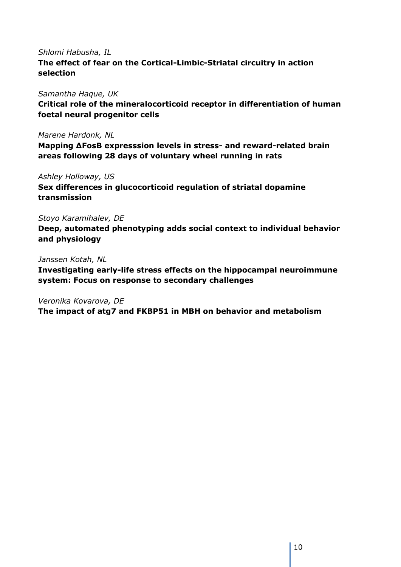#### *Shlomi Habusha, IL*

**The effect of fear on the Cortical-Limbic-Striatal circuitry in action selection**

#### *Samantha Haque, UK*

**Critical role of the mineralocorticoid receptor in differentiation of human foetal neural progenitor cells**

#### *Marene Hardonk, NL*

**Mapping ΔFosB expresssion levels in stress- and reward-related brain areas following 28 days of voluntary wheel running in rats**

#### *Ashley Holloway, US*

**Sex differences in glucocorticoid regulation of striatal dopamine transmission**

#### *Stoyo Karamihalev, DE*

**Deep, automated phenotyping adds social context to individual behavior and physiology**

#### *Janssen Kotah, NL*

**Investigating early-life stress effects on the hippocampal neuroimmune system: Focus on response to secondary challenges**

*Veronika Kovarova, DE*

**The impact of atg7 and FKBP51 in MBH on behavior and metabolism**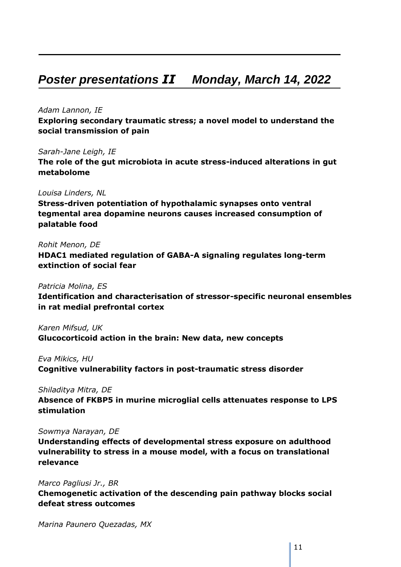### *Poster presentations II Monday, March 14, 2022*

#### *Adam Lannon, IE*

**Exploring secondary traumatic stress; a novel model to understand the social transmission of pain**

*Sarah-Jane Leigh, IE*

**The role of the gut microbiota in acute stress-induced alterations in gut metabolome**

#### *Louisa Linders, NL*

**Stress-driven potentiation of hypothalamic synapses onto ventral tegmental area dopamine neurons causes increased consumption of palatable food**

#### *Rohit Menon, DE*

**HDAC1 mediated regulation of GABA-A signaling regulates long-term extinction of social fear**

#### *Patricia Molina, ES*

**Identification and characterisation of stressor-specific neuronal ensembles in rat medial prefrontal cortex**

*Karen Mifsud, UK* **Glucocorticoid action in the brain: New data, new concepts**

*Eva Mikics, HU*

**Cognitive vulnerability factors in post-traumatic stress disorder**

*Shiladitya Mitra, DE*

**Absence of FKBP5 in murine microglial cells attenuates response to LPS stimulation**

#### *Sowmya Narayan, DE*

**Understanding effects of developmental stress exposure on adulthood vulnerability to stress in a mouse model, with a focus on translational relevance**

*Marco Pagliusi Jr., BR*

**Chemogenetic activation of the descending pain pathway blocks social defeat stress outcomes**

*Marina Paunero Quezadas, MX*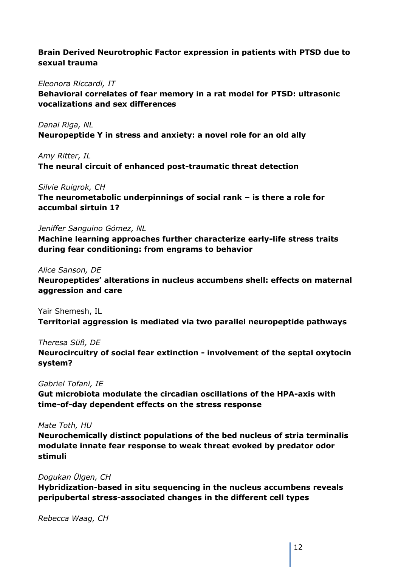#### **Brain Derived Neurotrophic Factor expression in patients with PTSD due to sexual trauma**

#### *Eleonora Riccardi, IT*

**Behavioral correlates of fear memory in a rat model for PTSD: ultrasonic vocalizations and sex differences**

*Danai Riga, NL* **Neuropeptide Y in stress and anxiety: a novel role for an old ally**

*Amy Ritter, IL* **The neural circuit of enhanced post-traumatic threat detection**

#### *Silvie Ruigrok, CH*

**The neurometabolic underpinnings of social rank – is there a role for accumbal sirtuin 1?**

#### *Jeniffer Sanguino Gómez, NL*

**Machine learning approaches further characterize early-life stress traits during fear conditioning: from engrams to behavior**

#### *Alice Sanson, DE*

**Neuropeptides' alterations in nucleus accumbens shell: effects on maternal aggression and care**

Yair Shemesh, IL **Territorial aggression is mediated via two parallel neuropeptide pathways**

*Theresa Süß, DE* **Neurocircuitry of social fear extinction - involvement of the septal oxytocin system?**

#### *Gabriel Tofani, IE*

**Gut microbiota modulate the circadian oscillations of the HPA-axis with time-of-day dependent effects on the stress response**

#### *Mate Toth, HU*

**Neurochemically distinct populations of the bed nucleus of stria terminalis modulate innate fear response to weak threat evoked by predator odor stimuli**

#### *Dogukan Ülgen, CH*

**Hybridization-based in situ sequencing in the nucleus accumbens reveals peripubertal stress-associated changes in the different cell types**

*Rebecca Waag, CH*